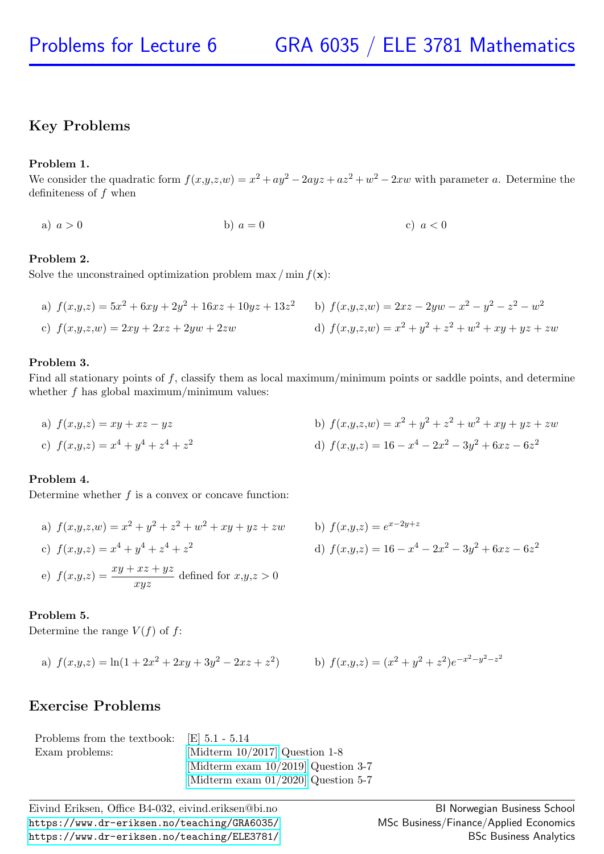# Key Problems

## Problem 1.

We consider the quadratic form  $f(x,y,z,w) = x^2 + ay^2 - 2ayz + az^2 + w^2 - 2xw$  with parameter a. Determine the definiteness of  $f$  when

a) 
$$
a > 0
$$
 b)  $a = 0$  c)  $a < 0$ 

## Problem 2.

Solve the unconstrained optimization problem max  $/\min f(\mathbf{x})$ :

a) 
$$
f(x,y,z) = 5x^2 + 6xy + 2y^2 + 16xz + 10yz + 13z^2
$$
  
b)  $f(x,y,z,w) = 2xz - 2yw - x^2 - y^2 - z^2 - w^2$   
c)  $f(x,y,z,w) = 2xy + 2xz + 2yw + 2zw$   
d)  $f(x,y,z,w) = x^2 + y^2 + z^2 + w^2 + xy + yz + zw$ 

## Problem 3.

Find all stationary points of  $f$ , classify them as local maximum/minimum points or saddle points, and determine whether  $f$  has global maximum/minimum values:

a)  $f(x,y,z) = xy + xz - yz$ b)  $f(x,y,z,w) = x^2 + y^2 + z^2 + w^2 + xy + yz + zw$ c)  $f(x,y,z) = x^4 + y^4 + z^4 + z^2$  d)  $f(x,y,z) = 16 - x$ d)  $f(x,y,z) = 16 - x^4 - 2x^2 - 3y^2 + 6xz - 6z^2$ 

## Problem 4.

Determine whether  $f$  is a convex or concave function:

a) 
$$
f(x,y,z,w) = x^2 + y^2 + z^2 + w^2 + xy + yz + zw
$$
  
\nb)  $f(x,y,z) = e^{x-2y+z}$   
\nc)  $f(x,y,z) = x^4 + y^4 + z^4 + z^2$   
\nd)  $f(x,y,z) = 16 - x^4 - 2x^2 - 3y^2 + 6xz - 6z^2$   
\ne)  $f(x,y,z) = \frac{xy + xz + yz}{xyz}$  defined for  $x,y,z > 0$ 

b) 
$$
f(x,y,z) = e^{x-2y+z}
$$
  
d)  $f(x,y,z) = 16 - x^4 - 2x^2 - 3y^2 + 6xz - 6z^2$ 

### Problem 5.

Determine the range  $V(f)$  of f:

a) 
$$
f(x,y,z) = \ln(1 + 2x^2 + 2xy + 3y^2 - 2xz + z^2)
$$
 b)  $f(x,y,z) = (x^2 + y^2 + z^2)e^{-x}$ 

b) 
$$
f(x,y,z) = (x^2 + y^2 + z^2)e^{-x^2-y^2-z^2}
$$

## Exercise Problems

| Problems from the textbook: $\left  \text{E} \right $ 5.1 - 5.14 |                                        |
|------------------------------------------------------------------|----------------------------------------|
| Exam problems:                                                   | [Midterm $10/2017$ ] Question 1-8      |
|                                                                  | [Midterm exam $10/2019$ ] Question 3-7 |
|                                                                  | [Midterm exam $01/2020$ ] Question 5-7 |

Eivind Eriksen, Office B4-032, eivind.eriksen@bi.no <https://www.dr-eriksen.no/teaching/GRA6035/> <https://www.dr-eriksen.no/teaching/ELE3781/>

BI Norwegian Business School MSc Business/Finance/Applied Economics BSc Business Analytics